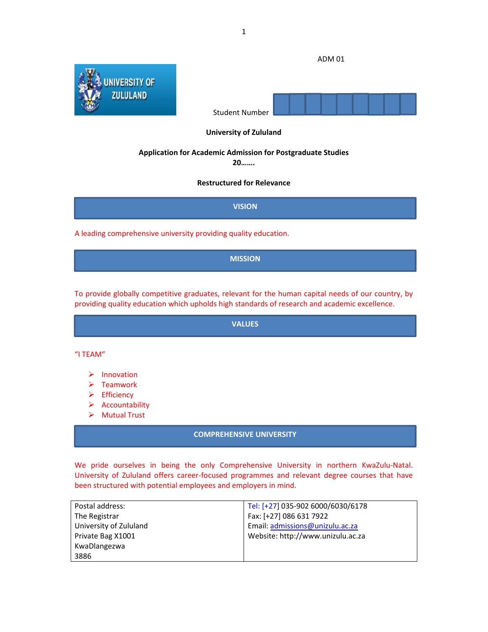

# **University of Zululand**

### **Application for Academic Admission for Postgraduate Studies**

**20…….**

# **Restructured for Relevance**

**VISION**

A leading comprehensive university providing quality education.

**MISSION**

To provide globally competitive graduates, relevant for the human capital needs of our country, by providing quality education which upholds high standards of research and academic excellence.

**VALUES**

"I TEAM"

- $\blacktriangleright$  Innovation
- $\triangleright$  Teamwork
- $\triangleright$  Efficiency
- $\triangleright$  Accountability
- Mutual Trust

### **COMPREHENSIVE UNIVERSITY**

We pride ourselves in being the only Comprehensive University in northern KwaZulu-Natal. University of Zululand offers career‐focused programmes and relevant degree courses that have been structured with potential employees and employers in mind.

| Postal address:        | Tel: [+27] 035-902 6000/6030/6178 |
|------------------------|-----------------------------------|
| The Registrar          | Fax: [+27] 086 631 7922           |
| University of Zululand | Email: admissions@unizulu.ac.za   |
| Private Bag X1001      | Website: http://www.unizulu.ac.za |
| KwaDlangezwa           |                                   |
| 3886                   |                                   |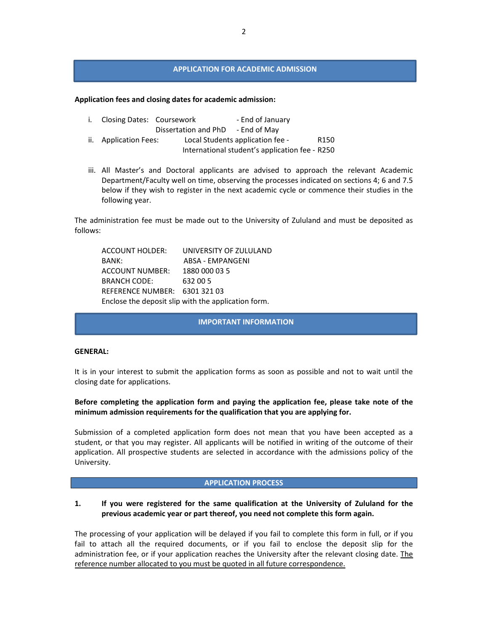### **APPLICATION FOR ACADEMIC ADMISSION**

#### **Application fees and closing dates for academic admission:**

| i. Closing Dates: Coursework |                                   | - End of January                               |                  |
|------------------------------|-----------------------------------|------------------------------------------------|------------------|
|                              | Dissertation and PhD - End of May |                                                |                  |
| ii. Application Fees:        |                                   | Local Students application fee -               | R <sub>150</sub> |
|                              |                                   | International student's application fee - R250 |                  |

iii. All Master's and Doctoral applicants are advised to approach the relevant Academic Department/Faculty well on time, observing the processes indicated on sections 4; 6 and 7.5 below if they wish to register in the next academic cycle or commence their studies in the following year.

The administration fee must be made out to the University of Zululand and must be deposited as follows:

| <b>ACCOUNT HOLDER:</b>                              | UNIVERSITY OF ZULULAND |  |  |
|-----------------------------------------------------|------------------------|--|--|
| BANK:                                               | ABSA - EMPANGENI       |  |  |
| <b>ACCOUNT NUMBER:</b>                              | 1880 000 03 5          |  |  |
| <b>BRANCH CODE:</b>                                 | 632 00 5               |  |  |
| REFERENCE NUMBER: 6301 321 03                       |                        |  |  |
| Enclose the deposit slip with the application form. |                        |  |  |

**IMPORTANT INFORMATION**

#### **GENERAL:**

It is in your interest to submit the application forms as soon as possible and not to wait until the closing date for applications.

### **Before completing the application form and paying the application fee, please take note of the minimum admission requirements for the qualification that you are applying for.**

Submission of a completed application form does not mean that you have been accepted as a student, or that you may register. All applicants will be notified in writing of the outcome of their application. All prospective students are selected in accordance with the admissions policy of the University.

#### **APPLICATION PROCESS**

### **1. If you were registered for the same qualification at the University of Zululand for the previous academic year or part thereof, you need not complete this form again.**

The processing of your application will be delayed if you fail to complete this form in full, or if you fail to attach all the required documents, or if you fail to enclose the deposit slip for the administration fee, or if your application reaches the University after the relevant closing date. The reference number allocated to you must be quoted in all future correspondence.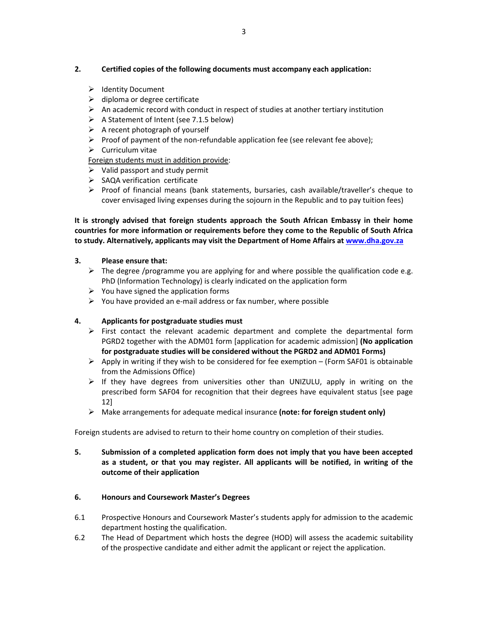# **2. Certified copies of the following documents must accompany each application:**

- $\triangleright$  Identity Document
- $\triangleright$  diploma or degree certificate
- $\triangleright$  An academic record with conduct in respect of studies at another tertiary institution
- $\triangleright$  A Statement of Intent (see 7.1.5 below)
- $\triangleright$  A recent photograph of yourself
- $\triangleright$  Proof of payment of the non-refundable application fee (see relevant fee above);
- $\triangleright$  Curriculum vitae

Foreign students must in addition provide:

- $\triangleright$  Valid passport and study permit
- $\triangleright$  SAQA verification certificate
- $\triangleright$  Proof of financial means (bank statements, bursaries, cash available/traveller's cheque to cover envisaged living expenses during the sojourn in the Republic and to pay tuition fees)

**It is strongly advised that foreign students approach the South African Embassy in their home countries for more information or requirements before they come to the Republic of South Africa to study. Alternatively, applicants may visit the Department of Home Affairs at www.dha.gov.za**

### **3. Please ensure that:**

- $\triangleright$  The degree /programme you are applying for and where possible the qualification code e.g. PhD (Information Technology) is clearly indicated on the application form
- $\triangleright$  You have signed the application forms
- $\triangleright$  You have provided an e-mail address or fax number, where possible

### **4. Applicants for postgraduate studies must**

- $\triangleright$  First contact the relevant academic department and complete the departmental form PGRD2 together with the ADM01 form [application for academic admission] **(No application for postgraduate studies will be considered without the PGRD2 and ADM01 Forms)**
- $\triangleright$  Apply in writing if they wish to be considered for fee exemption (Form SAF01 is obtainable from the Admissions Office)
- $\triangleright$  If they have degrees from universities other than UNIZULU, apply in writing on the prescribed form SAF04 for recognition that their degrees have equivalent status [see page 12]
- Make arrangements for adequate medical insurance **(note: for foreign student only)**

Foreign students are advised to return to their home country on completion of their studies.

**5. Submission of a completed application form does not imply that you have been accepted as a student, or that you may register. All applicants will be notified, in writing of the outcome of their application**

### **6. Honours and Coursework Master's Degrees**

- 6.1 Prospective Honours and Coursework Master's students apply for admission to the academic department hosting the qualification.
- 6.2 The Head of Department which hosts the degree (HOD) will assess the academic suitability of the prospective candidate and either admit the applicant or reject the application.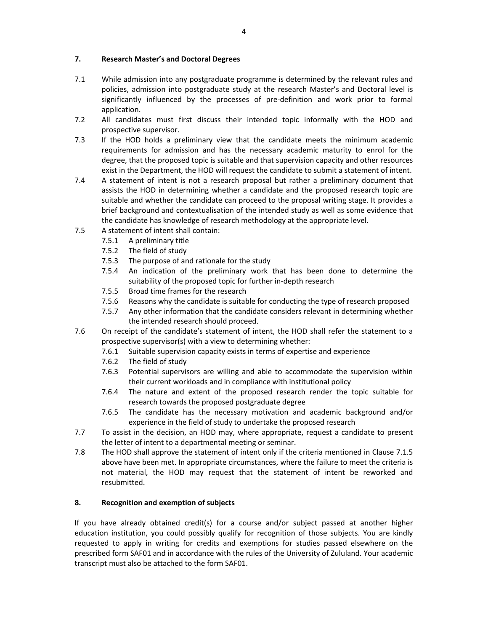# **7. Research Master's and Doctoral Degrees**

- 7.1 While admission into any postgraduate programme is determined by the relevant rules and policies, admission into postgraduate study at the research Master's and Doctoral level is significantly influenced by the processes of pre-definition and work prior to formal application.
- 7.2 All candidates must first discuss their intended topic informally with the HOD and prospective supervisor.
- 7.3 If the HOD holds a preliminary view that the candidate meets the minimum academic requirements for admission and has the necessary academic maturity to enrol for the degree, that the proposed topic is suitable and that supervision capacity and other resources exist in the Department, the HOD will request the candidate to submit a statement of intent.
- 7.4 A statement of intent is not a research proposal but rather a preliminary document that assists the HOD in determining whether a candidate and the proposed research topic are suitable and whether the candidate can proceed to the proposal writing stage. It provides a brief background and contextualisation of the intended study as well as some evidence that the candidate has knowledge of research methodology at the appropriate level.
- 7.5 A statement of intent shall contain:
	- 7.5.1 A preliminary title
	- 7.5.2 The field of study
	- 7.5.3 The purpose of and rationale for the study
	- 7.5.4 An indication of the preliminary work that has been done to determine the suitability of the proposed topic for further in‐depth research
	- 7.5.5 Broad time frames for the research
	- 7.5.6 Reasons why the candidate is suitable for conducting the type of research proposed
	- 7.5.7 Any other information that the candidate considers relevant in determining whether the intended research should proceed.
- 7.6 On receipt of the candidate's statement of intent, the HOD shall refer the statement to a prospective supervisor(s) with a view to determining whether:
	- 7.6.1 Suitable supervision capacity exists in terms of expertise and experience
	- 7.6.2 The field of study
	- 7.6.3 Potential supervisors are willing and able to accommodate the supervision within their current workloads and in compliance with institutional policy
	- 7.6.4 The nature and extent of the proposed research render the topic suitable for research towards the proposed postgraduate degree
	- 7.6.5 The candidate has the necessary motivation and academic background and/or experience in the field of study to undertake the proposed research
- 7.7 To assist in the decision, an HOD may, where appropriate, request a candidate to present the letter of intent to a departmental meeting or seminar.
- 7.8 The HOD shall approve the statement of intent only if the criteria mentioned in Clause 7.1.5 above have been met. In appropriate circumstances, where the failure to meet the criteria is not material, the HOD may request that the statement of intent be reworked and resubmitted.

### **8. Recognition and exemption of subjects**

If you have already obtained credit(s) for a course and/or subject passed at another higher education institution, you could possibly qualify for recognition of those subjects. You are kindly requested to apply in writing for credits and exemptions for studies passed elsewhere on the prescribed form SAF01 and in accordance with the rules of the University of Zululand. Your academic transcript must also be attached to the form SAF01.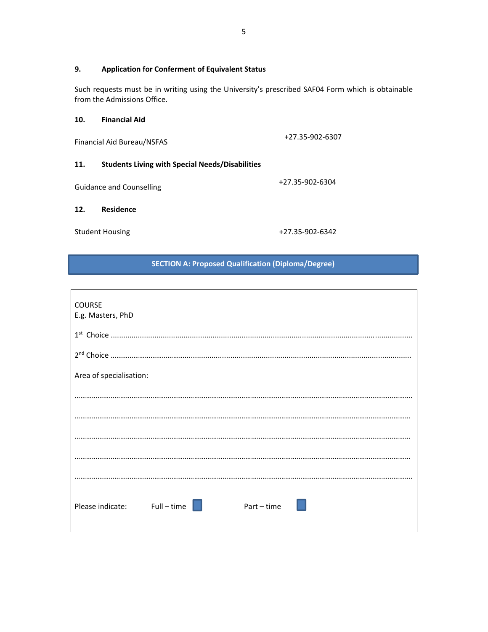## **9. Application for Conferment of Equivalent Status**

Such requests must be in writing using the University's prescribed SAF04 Form which is obtainable from the Admissions Office.

# **10. Financial Aid**

Financial Aid Bureau/NSFAS +27.35-902-6307

#### **11. Students Living with Special Needs/Disabilities**

Guidance and Counselling +27.35‐902‐<sup>6304</sup>

#### **12. Residence**

Student Housing +27.35‐902‐6342

# **SECTION A: Proposed Qualification (Diploma/Degree)**

| <b>COURSE</b><br>E.g. Masters, PhD          |
|---------------------------------------------|
|                                             |
|                                             |
| Area of specialisation:                     |
|                                             |
|                                             |
|                                             |
|                                             |
|                                             |
| Please indicate: $Full-time$<br>$Part-time$ |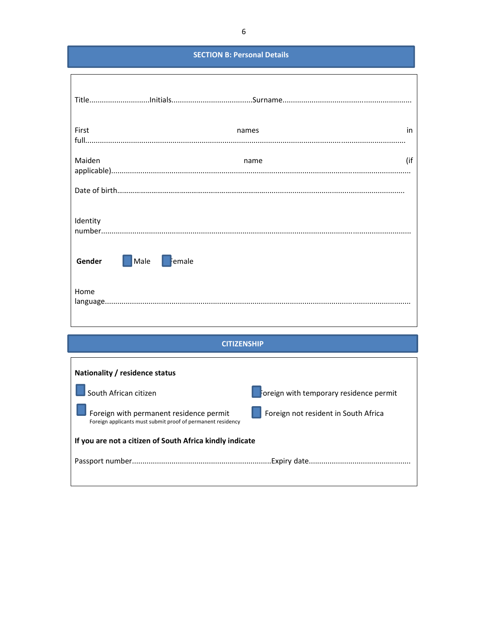## **SECTION B: Personal Details**

| First                                                                                                  | names<br>in                             |
|--------------------------------------------------------------------------------------------------------|-----------------------------------------|
|                                                                                                        |                                         |
| Maiden                                                                                                 | (if<br>name                             |
|                                                                                                        |                                         |
| Identity<br>Gender<br>Male<br>$\vert$ Female<br>Home                                                   |                                         |
| <b>CITIZENSHIP</b>                                                                                     |                                         |
| Nationality / residence status<br>South African citizen                                                | Foreign with temporary residence permit |
| Foreign with permanent residence permit<br>Foreign applicants must submit proof of permanent residency | Foreign not resident in South Africa    |
| If you are not a citizen of South Africa kindly indicate                                               |                                         |
|                                                                                                        |                                         |
|                                                                                                        |                                         |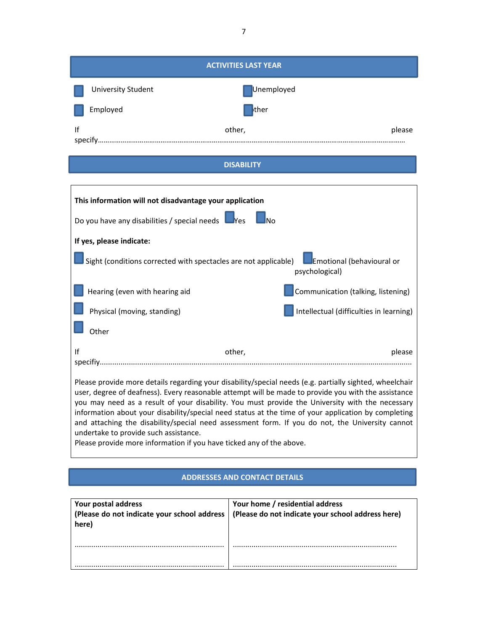|    |                                                                                                                                                                                                                                                                                      | <b>ACTIVITIES LAST YEAR</b> |                                                                                                                                                                                                                                                                                                                                                                                                                          |
|----|--------------------------------------------------------------------------------------------------------------------------------------------------------------------------------------------------------------------------------------------------------------------------------------|-----------------------------|--------------------------------------------------------------------------------------------------------------------------------------------------------------------------------------------------------------------------------------------------------------------------------------------------------------------------------------------------------------------------------------------------------------------------|
|    | University Student                                                                                                                                                                                                                                                                   | Unemployed                  |                                                                                                                                                                                                                                                                                                                                                                                                                          |
|    | Employed                                                                                                                                                                                                                                                                             | ther                        |                                                                                                                                                                                                                                                                                                                                                                                                                          |
| If |                                                                                                                                                                                                                                                                                      | other,                      | please                                                                                                                                                                                                                                                                                                                                                                                                                   |
|    |                                                                                                                                                                                                                                                                                      | <b>DISABILITY</b>           |                                                                                                                                                                                                                                                                                                                                                                                                                          |
|    | This information will not disadvantage your application<br>Do you have any disabilities / special needs Ves<br>If yes, please indicate:<br>Sight (conditions corrected with spectacles are not applicable)<br>Hearing (even with hearing aid<br>Physical (moving, standing)<br>Other | <b>No</b>                   | <b>Emotional (behavioural or</b><br>psychological)<br>Communication (talking, listening)<br>Intellectual (difficulties in learning)                                                                                                                                                                                                                                                                                      |
| Ιf |                                                                                                                                                                                                                                                                                      | other,                      | please                                                                                                                                                                                                                                                                                                                                                                                                                   |
|    |                                                                                                                                                                                                                                                                                      |                             | Please provide more details regarding your disability/special needs (e.g. partially sighted, wheelchair<br>user, degree of deafness). Every reasonable attempt will be made to provide you with the assistance<br>you may need as a result of your disability. You must provide the University with the necessary<br>information about your disability/special need status at the time of your application by completing |

and attaching the disability/special need assessment form. If you do not, the University cannot undertake to provide such assistance.

Please provide more information if you have ticked any of the above.

# **ADDRESSES AND CONTACT DETAILS**

| Your postal address<br>(Please do not indicate your school address<br>here) | Your home / residential address<br>(Please do not indicate your school address here) |
|-----------------------------------------------------------------------------|--------------------------------------------------------------------------------------|
|                                                                             |                                                                                      |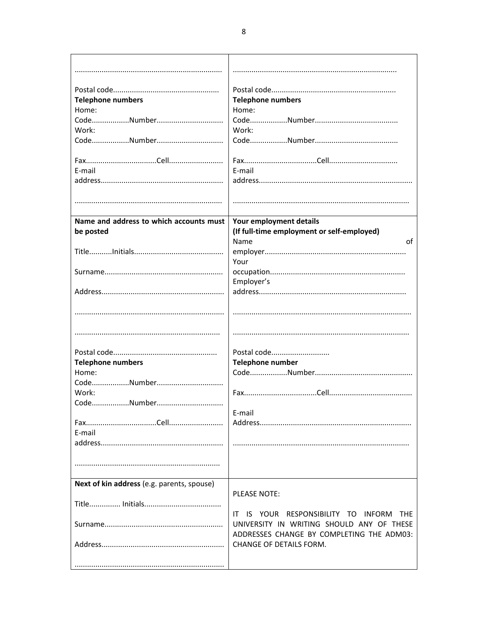| <b>Telephone numbers</b>                   | <b>Telephone numbers</b>                   |
|--------------------------------------------|--------------------------------------------|
|                                            |                                            |
| Home:                                      | Home:                                      |
| CodeNumber                                 |                                            |
| Work:                                      | Work:                                      |
| CodeNumber                                 |                                            |
|                                            |                                            |
|                                            |                                            |
|                                            |                                            |
| E-mail                                     | E-mail                                     |
|                                            |                                            |
|                                            |                                            |
|                                            |                                            |
|                                            |                                            |
| Name and address to which accounts must    | Your employment details                    |
|                                            | (If full-time employment or self-employed) |
| be posted                                  |                                            |
|                                            | Name<br>οf                                 |
|                                            |                                            |
|                                            | Your                                       |
|                                            |                                            |
|                                            | Employer's                                 |
|                                            |                                            |
|                                            |                                            |
|                                            |                                            |
|                                            |                                            |
|                                            |                                            |
|                                            |                                            |
|                                            |                                            |
|                                            | Postal code                                |
|                                            |                                            |
| <b>Telephone numbers</b>                   | Telephone number                           |
| Home:                                      |                                            |
| CodeNumber                                 |                                            |
| Work:                                      |                                            |
| CodeNumber                                 |                                            |
|                                            | E-mail                                     |
|                                            |                                            |
|                                            |                                            |
| E-mail                                     |                                            |
|                                            |                                            |
|                                            |                                            |
|                                            |                                            |
|                                            |                                            |
| Next of kin address (e.g. parents, spouse) |                                            |
|                                            | PLEASE NOTE:                               |
|                                            |                                            |
|                                            |                                            |
|                                            | IT IS YOUR RESPONSIBILITY TO INFORM THE    |
|                                            | UNIVERSITY IN WRITING SHOULD ANY OF THESE  |
|                                            | ADDRESSES CHANGE BY COMPLETING THE ADM03:  |
|                                            | CHANGE OF DETAILS FORM.                    |
|                                            |                                            |
|                                            |                                            |
|                                            |                                            |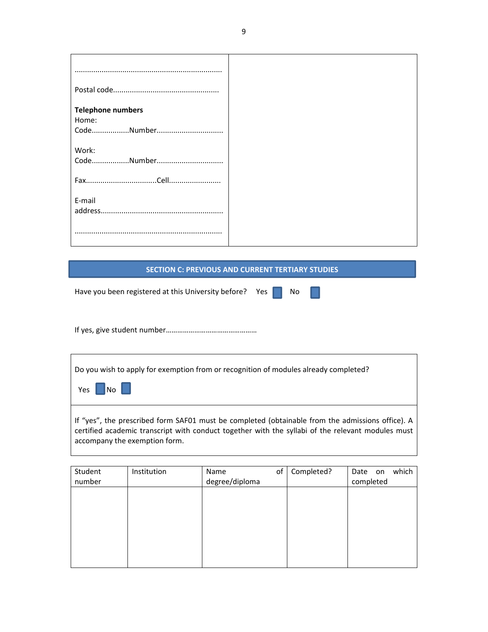| <b>Telephone numbers</b> |  |
|--------------------------|--|
|                          |  |
| Home:                    |  |
| CodeNumber               |  |
|                          |  |
| Work:                    |  |
| CodeNumber               |  |
|                          |  |
|                          |  |
|                          |  |
| E-mail                   |  |
|                          |  |
|                          |  |
|                          |  |
|                          |  |
|                          |  |

|  |  |  | <b>SECTION C: PREVIOUS AND CURRENT TERTIARY STUDIES</b> |  |  |
|--|--|--|---------------------------------------------------------|--|--|
|--|--|--|---------------------------------------------------------|--|--|

Have you been registered at this University before? Yes **Number** No

If yes, give student number…………………………………………

Do you wish to apply for exemption from or recognition of modules already completed?



If "yes", the prescribed form SAF01 must be completed (obtainable from the admissions office). A certified academic transcript with conduct together with the syllabi of the relevant modules must accompany the exemption form.

| Student | Institution | of<br>Name     | Completed? | which<br>Date on |
|---------|-------------|----------------|------------|------------------|
| number  |             | degree/diploma |            | completed        |
|         |             |                |            |                  |
|         |             |                |            |                  |
|         |             |                |            |                  |
|         |             |                |            |                  |
|         |             |                |            |                  |
|         |             |                |            |                  |
|         |             |                |            |                  |
|         |             |                |            |                  |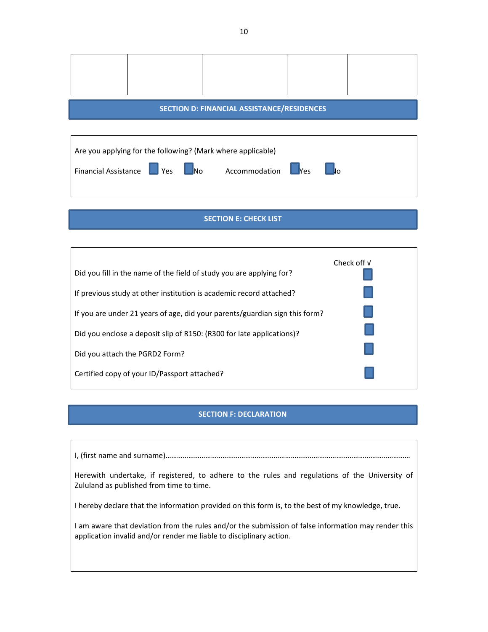#### **SECTION D: FINANCIAL ASSISTANCE/RESIDENCES**



### **SECTION E: CHECK LIST**



#### **SECTION F: DECLARATION**

I, (first name and surname)…………………………………………………………………………………………………………………

Herewith undertake, if registered, to adhere to the rules and regulations of the University of Zululand as published from time to time.

I hereby declare that the information provided on this form is, to the best of my knowledge, true.

I am aware that deviation from the rules and/or the submission of false information may render this application invalid and/or render me liable to disciplinary action.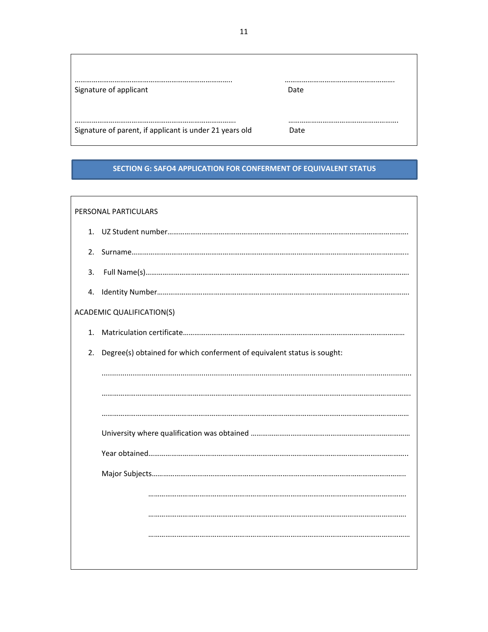| Signature of applicant                                  | Date |
|---------------------------------------------------------|------|
|                                                         |      |
| Signature of parent, if applicant is under 21 years old | Date |

# **SECTION G: SAFO4 APPLICATION FOR CONFERMENT OF EQUIVALENT STATUS**

## PERSONAL PARTICULARS

|                           | 2. |                                                                         |  |  |
|---------------------------|----|-------------------------------------------------------------------------|--|--|
|                           | 3. |                                                                         |  |  |
|                           | 4. |                                                                         |  |  |
| ACADEMIC QUALIFICATION(S) |    |                                                                         |  |  |
|                           | 1. |                                                                         |  |  |
|                           | 2. | Degree(s) obtained for which conferment of equivalent status is sought: |  |  |
|                           |    |                                                                         |  |  |
|                           |    |                                                                         |  |  |
|                           |    |                                                                         |  |  |
|                           |    |                                                                         |  |  |
|                           |    |                                                                         |  |  |
|                           |    |                                                                         |  |  |
|                           |    |                                                                         |  |  |
|                           |    |                                                                         |  |  |
|                           |    |                                                                         |  |  |
|                           |    |                                                                         |  |  |
|                           |    |                                                                         |  |  |